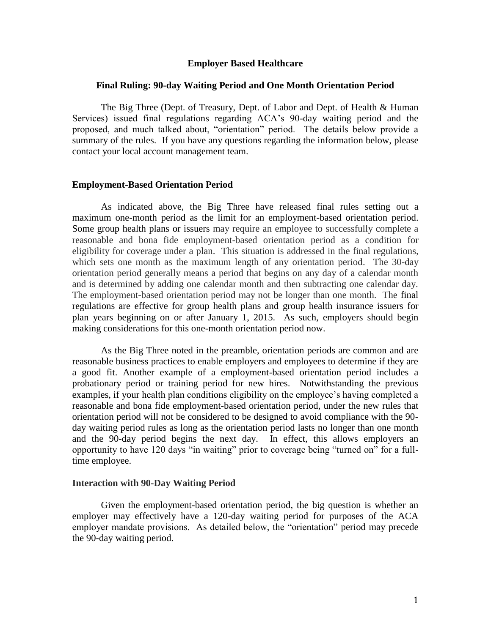## **Employer Based Healthcare**

## **Final Ruling: 90-day Waiting Period and One Month Orientation Period**

The Big Three (Dept. of Treasury, Dept. of Labor and Dept. of Health & Human Services) issued final regulations regarding ACA's 90-day waiting period and the proposed, and much talked about, "orientation" period. The details below provide a summary of the rules. If you have any questions regarding the information below, please contact your local account management team.

## **Employment-Based Orientation Period**

As indicated above, the Big Three have released final rules setting out a maximum one-month period as the limit for an employment-based orientation period. Some group health plans or issuers may require an employee to successfully complete a reasonable and bona fide employment-based orientation period as a condition for eligibility for coverage under a plan. This situation is addressed in the final regulations, which sets one month as the maximum length of any orientation period. The 30-day orientation period generally means a period that begins on any day of a calendar month and is determined by adding one calendar month and then subtracting one calendar day. The employment-based orientation period may not be longer than one month. The final regulations are effective for group health plans and group health insurance issuers for plan years beginning on or after January 1, 2015. As such, employers should begin making considerations for this one-month orientation period now.

As the Big Three noted in the preamble, orientation periods are common and are reasonable business practices to enable employers and employees to determine if they are a good fit. Another example of a employment-based orientation period includes a probationary period or training period for new hires. Notwithstanding the previous examples, if your health plan conditions eligibility on the employee's having completed a reasonable and bona fide employment-based orientation period, under the new rules that orientation period will not be considered to be designed to avoid compliance with the 90 day waiting period rules as long as the orientation period lasts no longer than one month and the 90-day period begins the next day. In effect, this allows employers an opportunity to have 120 days "in waiting" prior to coverage being "turned on" for a fulltime employee.

## **Interaction with 90-Day Waiting Period**

Given the employment-based orientation period, the big question is whether an employer may effectively have a 120-day waiting period for purposes of the ACA employer mandate provisions. As detailed below, the "orientation" period may precede the 90-day waiting period.